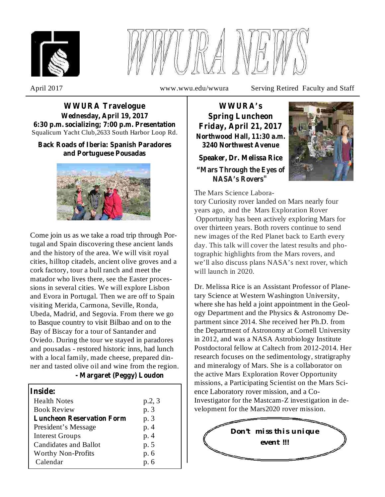



April 2017 www.wwu.edu/wwura Serving Retired Faculty and Staff

Squalicum Yacht Club,2633 South Harbor Loop Rd. **WWURA Travelogue Wednesday, April 19, 2017 6:30 p.m. socializing; 7:00 p.m. Presentation**

### **Back Roads of Iberia: Spanish Paradores and Portuguese Pousadas**



Come join us as we take a road trip through Portugal and Spain discovering these ancient lands and the history of the area. We will visit royal cities, hilltop citadels, ancient olive groves and a cork factory, tour a bull ranch and meet the matador who lives there, see the Easter processions in several cities. We will explore Lisbon and Evora in Portugal. Then we are off to Spain visiting Merida, Carmona, Seville, Ronda, Ubeda, Madrid, and Segovia. From there we go to Basque country to visit Bilbao and on to the Bay of Biscay for a tour of Santander and Oviedo. During the tour we stayed in paradores and pousadas - restored historic inns, had lunch with a local family, made cheese, prepared dinner and tasted olive oil and wine from the region.

#### **- Margaret (Peggy) Loudon**

| Inside:                          |        |
|----------------------------------|--------|
| <b>Health Notes</b>              | p.2, 3 |
| <b>Book Review</b>               | p. 3   |
| <b>Luncheon Reservation Form</b> | p. 3   |
| President's Message              | p. 4   |
| <b>Interest Groups</b>           | p. 4   |
| <b>Candidates and Ballot</b>     | p. 5   |
| <b>Worthy Non-Profits</b>        | p. 6   |
| Calendar                         | p. 6   |

**WWURA's Spring Luncheon Friday, April 21, 2017 Northwood Hall, 11:30 a.m. 3240 Northwest Avenue**

**Speaker, Dr. Melissa Rice**

**"Mars Through the Eyes of NASA's Rovers"**



tory Curiosity rover landed on Mars nearly four years ago, and the Mars Exploration Rover Opportunity has been actively exploring Mars for over thirteen years. Both rovers continue to send new images of the Red Planet back to Earth every day. This talk will cover the latest results and photographic highlights from the Mars rovers, and we'll also discuss plans NASA's next rover, which will launch in 2020.

Dr. Melissa Rice is an Assistant Professor of Planetary Science at Western Washington University, where she has held a joint appointment in the Geology Department and the Physics & Astronomy Department since 2014. She received her Ph.D. from the Department of Astronomy at Cornell University in 2012, and was a NASA Astrobiology Institute Postdoctoral fellow at Caltech from 2012-2014. Her research focuses on the sedimentology, stratigraphy and mineralogy of Mars. She is a collaborator on the active Mars Exploration Rover Opportunity missions, a Participating Scientist on the Mars Science Laboratory rover mission, and a Co-Investigator for the Mastcam-Z investigation in development for the Mars2020 rover mission.

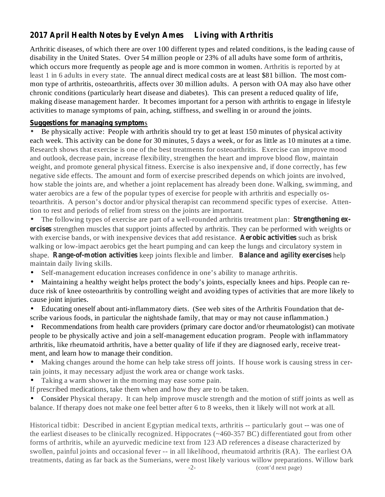# **2017 April Health Notes by Evelyn Ames Living with Arthritis**

Arthritic diseases, of which there are over 100 different types and related conditions, is the leading cause of disability in the United States. Over 54 million people or 23% of all adults have some form of arthritis, which occurs more frequently as people age and is more common in women. Arthritis is reported by at least 1 in 6 adults in every state. The annual direct medical costs are at least \$81 billion. The most common type of arthritis, osteoarthritis, affects over 30 million adults. A person with OA may also have other chronic conditions (particularly heart disease and diabetes). This can present a reduced quality of life, making disease management harder. It becomes important for a person with arthritis to engage in lifestyle activities to manage symptoms of pain, aching, stiffness, and swelling in or around the joints.

#### **Suggestions for managing symptom** s

Be physically active: People with arthritis should try to get at least 150 minutes of physical activity each week. This activity can be done for 30 minutes, 5 days a week, or for as little as 10 minutes at a time. Research shows that exercise is one of the best treatments for osteoarthritis. Exercise can improve mood and outlook, decrease pain, increase flexibility, strengthen the heart and improve blood flow, maintain weight, and promote general physical fitness. Exercise is also inexpensive and, if done correctly, has few negative side effects. The amount and form of exercise prescribed depends on which joints are involved, how stable the joints are, and whether a joint replacement has already been done. Walking, swimming, and water aerobics are a few of the popular types of exercise for people with arthritis and especially osteoarthritis. A person's doctor and/or physical therapist can recommend specific types of exercise. Attention to rest and periods of relief from stress on the joints are important. •

The following types of exercise are part of a well-rounded arthritis treatment plan: **Strengthening exercises** strengthen muscles that support joints affected by arthritis. They can be performed with weights or with exercise bands, or with inexpensive devices that add resistance. Aerobic activities such as brisk shape. Range-of-motion activities keep joints flexible and limber. Balance and agility exercises help walking or low-impact aerobics get the heart pumping and can keep the lungs and circulatory system in maintain daily living skills. •

- Self-management education increases confidence in one's ability to manage arthritis.  $\bullet$
- Maintaining a healthy weight helps protect the body's joints, especially knees and hips. People can reduce risk of knee osteoarthritis by controlling weight and avoiding types of activities that are more likely to cause joint injuries.  $\bullet$
- Educating oneself about anti-inflammatory diets. (See web sites of the Arthritis Foundation that describe various foods, in particular the nightshade family, that may or may not cause inflammation.)  $\bullet$

Recommendations from health care providers (primary care doctor and/or rheumatologist) can motivate people to be physically active and join a self-management education program. People with inflammatory arthritis, like rheumatoid arthritis, have a better quality of life if they are diagnosed early, receive treatment, and learn how to manage their condition. •

- Making changes around the home can help take stress off joints. If house work is causing stress in certain joints, it may necessary adjust the work area or change work tasks.  $\bullet$
- Taking a warm shower in the morning may ease some pain. •
- If prescribed medications, take them when and how they are to be taken.

• Consider Physical therapy. It can help improve muscle strength and the motion of stiff joints as well as balance. If therapy does not make one feel better after 6 to 8 weeks, then it likely will not work at all.

Historical tidbit: Described in ancient Egyptian medical texts, arthritis -- particularly gout -- was one of the earliest diseases to be clinically recognized. Hippocrates (~460-357 BC) differentiated gout from other forms of arthritis, while an ayurvedic medicine text from 123 AD references a disease characterized by swollen, painful joints and occasional fever -- in all likelihood, rheumatoid arthritis (RA). The earliest OA treatments, dating as far back as the Sumerians, were most likely various willow preparations. Willow bark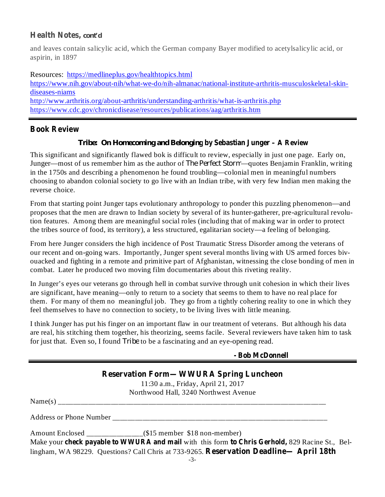### **Health Notes,** *cont'd*

and leaves contain salicylic acid, which the German company Bayer modified to acetylsalicylic acid, or aspirin, in 1897

Resources: https://medlineplus.gov/healthtopics.html

https://www.nih.gov/about-nih/what-we-do/nih-almanac/national-institute-arthritis-musculoskeletal-skindiseases-niams http://www.arthritis.org/about-arthritis/understanding-arthritis/what-is-arthritis.php

https://www.cdc.gov/chronicdisease/resources/publications/aag/arthritis.htm

## **Book Review**

### **by Sebastian Junger – A Review** *Tribe: On Homecoming and Belonging*

This significant and significantly flawed bok is difficult to review, especially in just one page. Early on, Junger—most of us remember him as the author of *The Perfect Storm*—quotes Benjamin Franklin, writing in the 1750s and describing a phenomenon he found troubling—colonial men in meaningful numbers choosing to abandon colonial society to go live with an Indian tribe, with very few Indian men making the reverse choice.

From that starting point Junger taps evolutionary anthropology to ponder this puzzling phenomenon—and proposes that the men are drawn to Indian society by several of its hunter-gatherer, pre-agricultural revolution features. Among them are meaningful social roles (including that of making war in order to protect the tribes source of food, its territory), a less structured, egalitarian society—a feeling of belonging.

From here Junger considers the high incidence of Post Traumatic Stress Disorder among the veterans of our recent and on-going wars. Importantly, Junger spent several months living with US armed forces bivouacked and fighting in a remote and primitive part of Afghanistan, witnessing the close bonding of men in combat. Later he produced two moving film documentaries about this riveting reality.

In Junger's eyes our veterans go through hell in combat survive through unit cohesion in which their lives are significant, have meaning—only to return to a society that seems to them to have no real place for them. For many of them no meaningful job. They go from a tightly cohering reality to one in which they feel themselves to have no connection to society, to be living lives with little meaning.

I think Junger has put his finger on an important flaw in our treatment of veterans. But although his data are real, his stitching them together, his theorizing, seems facile. Several reviewers have taken him to task for just that. Even so, I found *Tribe* to be a fascinating and an eye-opening read.

|  | - Bob McDonnell |
|--|-----------------|
|--|-----------------|

| <b>Reservation Form—WWURA Spring Luncheon</b> |                                                                                                 |  |  |  |
|-----------------------------------------------|-------------------------------------------------------------------------------------------------|--|--|--|
|                                               | 11:30 a.m., Friday, April 21, 2017                                                              |  |  |  |
|                                               | Northwood Hall, 3240 Northwest Avenue                                                           |  |  |  |
|                                               |                                                                                                 |  |  |  |
|                                               |                                                                                                 |  |  |  |
|                                               |                                                                                                 |  |  |  |
|                                               | Make your check payable to WWURA and mail with this form to Chris Gerhold, 829 Racine St., Bel- |  |  |  |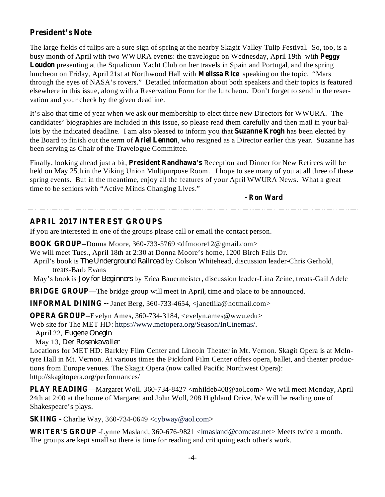## **President's Note**

busy month of April with two WWURA events: the travelogue on Wednesday, April 19th with **Peggy** Loudon presenting at the Squalicum Yacht Club on her travels in Spain and Portugal, and the spring luncheon on Friday, April 21st at Northwood Hall with **Melissa Rice** speaking on the topic, "Mars The large fields of tulips are a sure sign of spring at the nearby Skagit Valley Tulip Festival. So, too, is a through the eyes of NASA's rovers." Detailed information about both speakers and their topics is featured elsewhere in this issue, along with a Reservation Form for the luncheon. Don't forget to send in the reservation and your check by the given deadline.

lots by the indicated deadline. I am also pleased to inform you that **Suzanne Krogh** has been elected by the Board to finish out the term of **Ariel Lennon**, who resigned as a Director earlier this year. Suzanne has It's also that time of year when we ask our membership to elect three new Directors for WWURA. The candidates' biographies are included in this issue, so please read them carefully and then mail in your balbeen serving as Chair of the Travelogue Committee.

Finally, looking ahead just a bit, President Randhawa's Reception and Dinner for New Retirees will be held on May 25th in the Viking Union Multipurpose Room. I hope to see many of you at all three of these spring events. But in the meantime, enjoy all the features of your April WWURA News. What a great time to be seniors with "Active Minds Changing Lives."

**- Ron Ward**

### **APRIL 2017 INTEREST GROUPS**

If you are interested in one of the groups please call or email the contact person.

**BOOK GROUP** --Donna Moore, 360-733-5769 <dfmoore12@gmail.com>

We will meet Tues., April 18th at 2:30 at Donna Moore's home, 1200 Birch Falls Dr.

April's book is *The Underground Railroad* by Colson Whitehead, discussion leader-Chris Gerhold, treats-Barb Evans

May's book is *Joy for Beginners* by Erica Bauermeister, discussion leader-Lina Zeine, treats-Gail Adele

**BRIDGE GROUP**—The bridge group will meet in April, time and place to be announced.

**INFORMAL DINING --** Janet Berg, 360-733-4654, <janetlila@hotmail.com>

**OPERA GROUP**--Evelyn Ames, 360-734-3184, <evelyn.ames@wwu.edu>

Web site for The MET HD: https://www.metopera.org/Season/InCinemas/.

April 22, *Eugene Onegin*

May 13, *Der Rosenkavalier*

Locations for MET HD: Barkley Film Center and Lincoln Theater in Mt. Vernon. Skagit Opera is at McIntyre Hall in Mt. Vernon. At various times the Pickford Film Center offers opera, ballet, and theater productions from Europe venues. The Skagit Opera (now called Pacific Northwest Opera): http://skagitopera.org/performances/

**PLAY READING** —Margaret Woll. 360-734-8427 <mhildeb408@aol.com> We will meet Monday, April 24th at 2:00 at the home of Margaret and John Woll, 208 Highland Drive. We will be reading one of Shakespeare's plays.

**SKIING -** Charlie Way, 360-734-0649 <cybway@aol.com>

**WRITER'S GROUP** -Lynne Masland, 360-676-9821 <lmasland@comcast.net> Meets twice a month. The groups are kept small so there is time for reading and critiquing each other's work.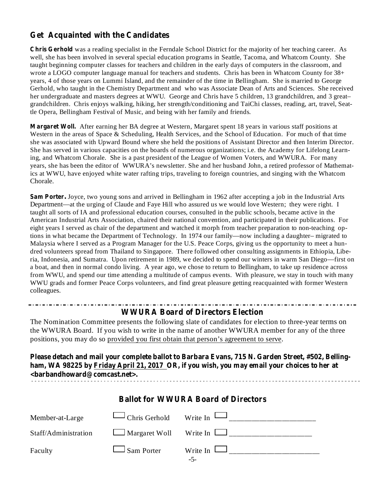## **Get Acquainted with the Candidates**

**Chris Gerhold** was a reading specialist in the Ferndale School District for the majority of her teaching career. As well, she has been involved in several special education programs in Seattle, Tacoma, and Whatcom County. She taught beginning computer classes for teachers and children in the early days of computers in the classroom, and wrote a LOGO computer language manual for teachers and students. Chris has been in Whatcom County for 38+ years, 4 of those years on Lummi Island, and the remainder of the time in Bellingham. She is married to George Gerhold, who taught in the Chemistry Department and who was Associate Dean of Arts and Sciences. She received her undergraduate and masters degrees at WWU. George and Chris have 5 children, 13 grandchildren, and 3 great– grandchildren. Chris enjoys walking, hiking, her strength/conditioning and TaiChi classes, reading, art, travel, Seattle Opera, Bellingham Festival of Music, and being with her family and friends.

**Margaret Woll.** After earning her BA degree at Western, Margaret spent 18 years in various staff positions at Western in the areas of Space & Scheduling, Health Services, and the School of Education. For much of that time she was associated with Upward Bound where she held the positions of Assistant Director and then Interim Director. She has served in various capacities on the boards of numerous organizations; i.e. the Academy for Lifelong Learning, and Whatcom Chorale. She is a past president of the League of Women Voters, and WWURA. For many years, she has been the editor of WWURA's newsletter. She and her husband John, a retired professor of Mathematics at WWU, have enjoyed white water rafting trips, traveling to foreign countries, and singing with the Whatcom Chorale.

**Sam Porter.** Joyce, two young sons and arrived in Bellingham in 1962 after accepting a job in the Industrial Arts Department—at the urging of Claude and Faye Hill who assured us we would love Western; they were right. I taught all sorts of IA and professional education courses, consulted in the public schools, became active in the American Industrial Arts Association, chaired their national convention, and participated in their publications. For eight years I served as chair of the department and watched it morph from teacher preparation to non-teaching options in what became the Department of Technology. In 1974 our family—now including a daughter– migrated to Malaysia where I served as a Program Manager for the U.S. Peace Corps, giving us the opportunity to meet a hundred volunteers spread from Thailand to Singapore. There followed other consulting assignments in Ethiopia, Liberia, Indonesia, and Sumatra. Upon retirement in 1989, we decided to spend our winters in warm San Diego—first on a boat, and then in normal condo living. A year ago, we chose to return to Bellingham, to take up residence across from WWU, and spend our time attending a multitude of campus events. With pleasure, we stay in touch with many WWU grads and former Peace Corps volunteers, and find great pleasure getting reacquainted with former Western colleagues.

### **WWURA Board of Directors Election**

The Nomination Committee presents the following slate of candidates for election to three-year terms on the WWURA Board. If you wish to write in the name of another WWURA member for any of the three positions, you may do so provided you first obtain that person's agreement to serve.

**Please detach and mail your complete ballot to Barbara Evans, 715 N. Garden Street, #502, Belling**ham, WA 98225 by Friday April 21, 2017 OR, if you wish, you may email your choices to her at **<barbandhoward@comcast.net>.**

| <b>Ballot for WWURA Board of Directors</b> |                               |                                      |  |
|--------------------------------------------|-------------------------------|--------------------------------------|--|
| Member-at-Large                            | $\Box$ Chris Gerhold Write In |                                      |  |
| Staff/Administration                       |                               | $\Box$ Margaret Woll Write In $\Box$ |  |
| Faculty                                    | $\Box$ Sam Porter             | Write In $\Box$                      |  |
|                                            |                               | -5-                                  |  |

## **Ballot for WWURA Board of Directors**